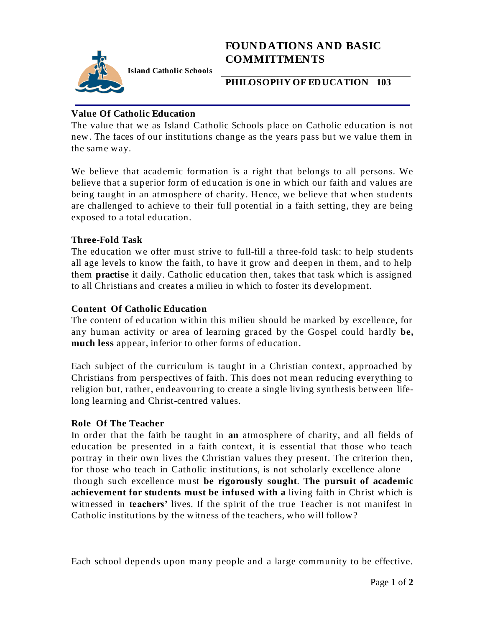

# **FOUNDATIONS AND BASIC COMMITTMENTS**

**PHILOSOPHY OF EDUCATION 103**

#### **Value Of Catholic Education**

The value that we as Island Catholic Schools place on Catholic education is not new. The faces of our institutions change as the years pass but we value them in the same way.

We believe that academic formation is a right that belongs to all persons. We believe that a superior form of education is one in which our faith and values are being taught in an atmosphere of charity. Hence, we believe that when students are challenged to achieve to their full potential in a faith setting, they are being exposed to a total education.

## **Three-Fold Task**

The education we offer must strive to full-fill a three-fold task: to help students all age levels to know the faith, to have it grow and deepen in them, and to help them **practise** it daily. Catholic education then, takes that task which is assigned to all Christians and creates a milieu in which to foster its development.

## **Content Of Catholic Education**

The content of education within this milieu should be marked by excellence, for any human activity or area of learning graced by the Gospel could hardly **be, much less** appear, inferior to other forms of education.

Each subject of the curriculum is taught in a Christian context, approached by Christians from perspectives of faith. This does not mean reducing everything to religion but, rather, endeavouring to create a single living synthesis between lifelong learning and Christ-centred values.

#### **Role Of The Teacher**

In order that the faith be taught in **an** atmosphere of charity, and all fields of education be presented in a faith context, it is essential that those who teach portray in their own lives the Christian values they present. The criterion then, for those who teach in Catholic institutions, is not scholarly excellence alone though such excellence must **be rigorously sought**. **The pursuit of academic achievement for students must be infused with a** living faith in Christ which is witnessed in **teachers'** lives. If the spirit of the true Teacher is not manifest in Catholic institutions by the witness of the teachers, who will follow?

Each school depends upon many people and a large community to be effective.